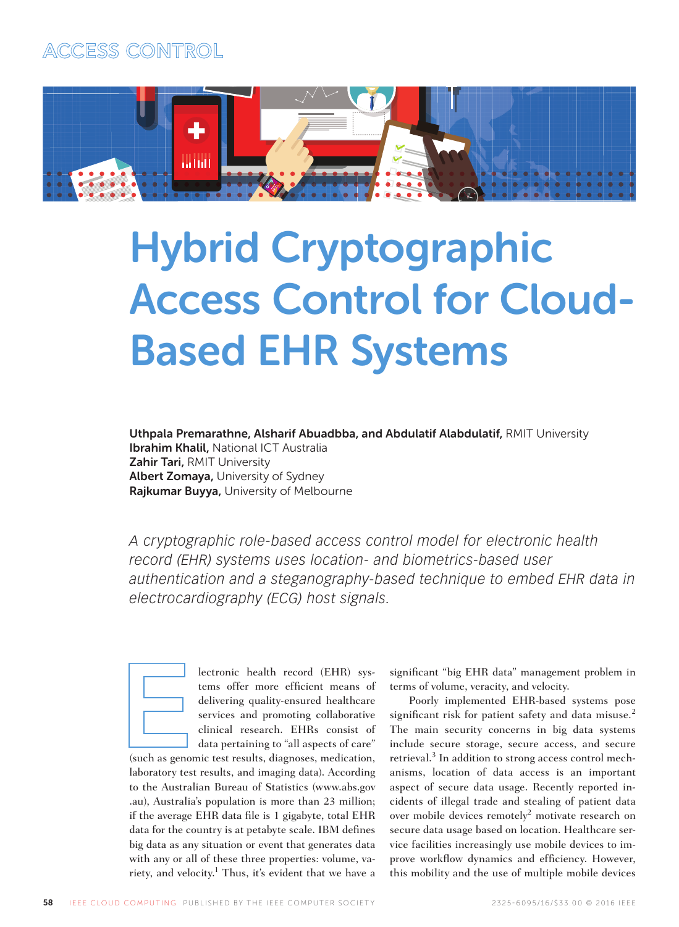



# Hybrid Cryptographic Access Control for Cloud-Based EHR Systems

Uthpala Premarathne, Alsharif Abuadbba, and Abdulatif Alabdulatif, RMIT University **Ibrahim Khalil, National ICT Australia** Zahir Tari, RMIT University Albert Zomaya, University of Sydney Rajkumar Buyya, University of Melbourne

*A cryptographic role-based access control model for electronic health record (EHR) systems uses location- and biometrics-based user authentication and a steganography-based technique to embed EHR data in electrocardiography (ECG) host signals.* 



lectronic health record (EHR) systems offer more efficient means of delivering quality-ensured healthcare services and promoting collaborative clinical research. EHRs consist of data pertaining to "all aspects of care"

(such as genomic test results, diagnoses, medication, laboratory test results, and imaging data). According to the Australian Bureau of Statistics (www.abs.gov .au), Australia's population is more than 23 million; if the average EHR data file is 1 gigabyte, total EHR data for the country is at petabyte scale. IBM defines big data as any situation or event that generates data with any or all of these three properties: volume, variety, and velocity.<sup>1</sup> Thus, it's evident that we have a significant "big EHR data" management problem in terms of volume, veracity, and velocity.

Poorly implemented EHR-based systems pose significant risk for patient safety and data misuse.<sup>2</sup> The main security concerns in big data systems include secure storage, secure access, and secure retrieval.<sup>3</sup> In addition to strong access control mechanisms, location of data access is an important aspect of secure data usage. Recently reported incidents of illegal trade and stealing of patient data over mobile devices remotely<sup>2</sup> motivate research on secure data usage based on location. Healthcare service facilities increasingly use mobile devices to improve workflow dynamics and efficiency. However, this mobility and the use of multiple mobile devices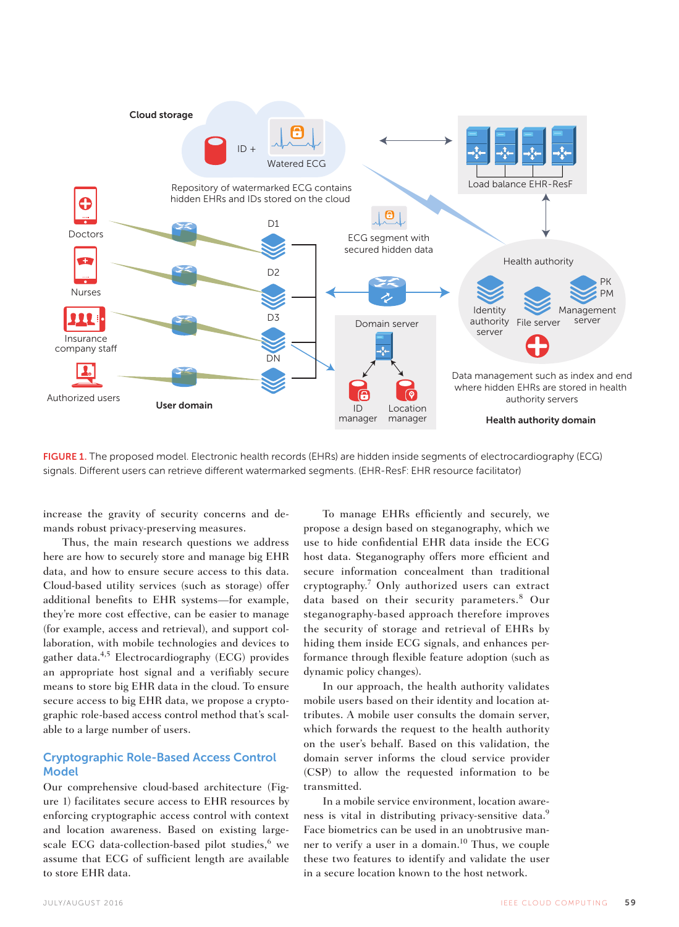

FIGURE 1. The proposed model. Electronic health records (EHRs) are hidden inside segments of electrocardiography (ECG) signals. Different users can retrieve different watermarked segments. (EHR-ResF: EHR resource facilitator)

increase the gravity of security concerns and demands robust privacy-preserving measures.

Thus, the main research questions we address here are how to securely store and manage big EHR data, and how to ensure secure access to this data. Cloud-based utility services (such as storage) offer additional benefits to EHR systems-for example, they're more cost effective, can be easier to manage (for example, access and retrieval), and support collaboration, with mobile technologies and devices to gather data.4,5 Electrocardiography (ECG) provides an appropriate host signal and a verifiably secure means to store big EHR data in the cloud. To ensure secure access to big EHR data, we propose a cryptographic role-based access control method that's scalable to a large number of users.

# Cryptographic Role-Based Access Control **Model**

Our comprehensive cloud-based architecture (Figure 1) facilitates secure access to EHR resources by enforcing cryptographic access control with context and location awareness. Based on existing largescale ECG data-collection-based pilot studies,<sup>6</sup> we assume that ECG of sufficient length are available to store EHR data.

To manage EHRs efficiently and securely, we propose a design based on steganography, which we use to hide confidential EHR data inside the ECG host data. Steganography offers more efficient and secure information concealment than traditional cryptography.7 Only authorized users can extract data based on their security parameters.<sup>8</sup> Our steganography-based approach therefore improves the security of storage and retrieval of EHRs by hiding them inside ECG signals, and enhances performance through flexible feature adoption (such as dynamic policy changes).

In our approach, the health authority validates mobile users based on their identity and location attributes. A mobile user consults the domain server, which forwards the request to the health authority on the user's behalf. Based on this validation, the domain server informs the cloud service provider (CSP) to allow the requested information to be transmitted.

In a mobile service environment, location awareness is vital in distributing privacy-sensitive data.<sup>9</sup> Face biometrics can be used in an unobtrusive manner to verify a user in a domain.<sup>10</sup> Thus, we couple these two features to identify and validate the user in a secure location known to the host network.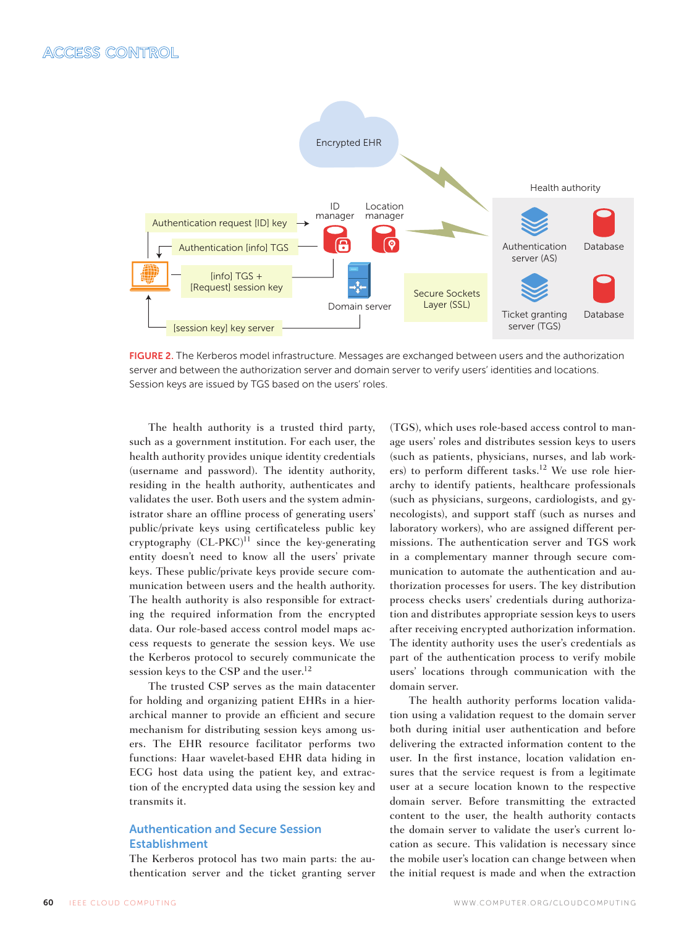

FIGURE 2. The Kerberos model infrastructure. Messages are exchanged between users and the authorization server and between the authorization server and domain server to verify users' identities and locations. Session keys are issued by TGS based on the users' roles.

The health authority is a trusted third party, such as a government institution. For each user, the health authority provides unique identity credentials (username and password). The identity authority, residing in the health authority, authenticates and validates the user. Both users and the system administrator share an offline process of generating users' public/private keys using certificateless public key cryptography  $(CL-PKC)^{11}$  since the key-generating entity doesn't need to know all the users' private keys. These public/private keys provide secure communication between users and the health authority. The health authority is also responsible for extracting the required information from the encrypted data. Our role-based access control model maps access requests to generate the session keys. We use the Kerberos protocol to securely communicate the session keys to the CSP and the user.<sup>12</sup>

The trusted CSP serves as the main datacenter for holding and organizing patient EHRs in a hierarchical manner to provide an efficient and secure mechanism for distributing session keys among users. The EHR resource facilitator performs two functions: Haar wavelet-based EHR data hiding in ECG host data using the patient key, and extraction of the encrypted data using the session key and transmits it.

# Authentication and Secure Session Establishment

The Kerberos protocol has two main parts: the authentication server and the ticket granting server (TGS), which uses role-based access control to manage users' roles and distributes session keys to users (such as patients, physicians, nurses, and lab workers) to perform different tasks.<sup>12</sup> We use role hierarchy to identify patients, healthcare professionals (such as physicians, surgeons, cardiologists, and gynecologists), and support staff (such as nurses and laboratory workers), who are assigned different permissions. The authentication server and TGS work in a complementary manner through secure communication to automate the authentication and authorization processes for users. The key distribution process checks users' credentials during authorization and distributes appropriate session keys to users after receiving encrypted authorization information. The identity authority uses the user's credentials as part of the authentication process to verify mobile users' locations through communication with the domain server.

The health authority performs location validation using a validation request to the domain server both during initial user authentication and before delivering the extracted information content to the user. In the first instance, location validation ensures that the service request is from a legitimate user at a secure location known to the respective domain server. Before transmitting the extracted content to the user, the health authority contacts the domain server to validate the user's current location as secure. This validation is necessary since the mobile user's location can change between when the initial request is made and when the extraction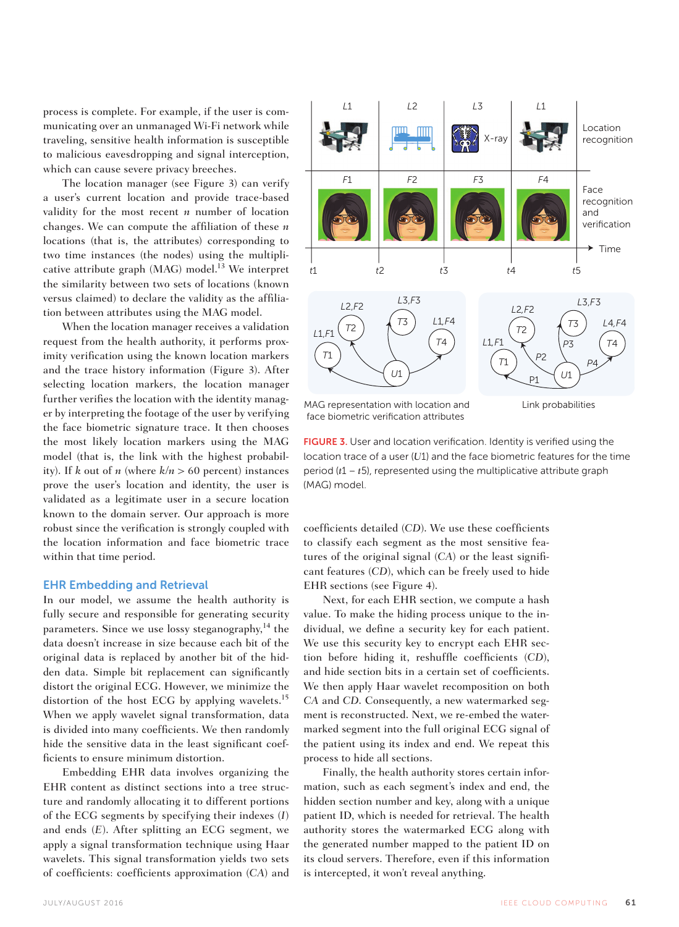process is complete. For example, if the user is communicating over an unmanaged Wi-Fi network while traveling, sensitive health information is susceptible to malicious eavesdropping and signal interception, which can cause severe privacy breeches.

The location manager (see Figure 3) can verify a user's current location and provide trace-based validity for the most recent *n* number of location changes. We can compute the affiliation of these *n* locations (that is, the attributes) corresponding to two time instances (the nodes) using the multiplicative attribute graph (MAG) model.<sup>13</sup> We interpret the similarity between two sets of locations (known versus claimed) to declare the validity as the affiliation between attributes using the MAG model.

When the location manager receives a validation request from the health authority, it performs proximity verification using the known location markers and the trace history information (Figure 3). After selecting location markers, the location manager further verifies the location with the identity manager by interpreting the footage of the user by verifying the face biometric signature trace. It then chooses the most likely location markers using the MAG model (that is, the link with the highest probability). If *k* out of *n* (where  $k/n > 60$  percent) instances prove the user's location and identity, the user is validated as a legitimate user in a secure location known to the domain server. Our approach is more robust since the verification is strongly coupled with the location information and face biometric trace within that time period.

## EHR Embedding and Retrieval

In our model, we assume the health authority is fully secure and responsible for generating security parameters. Since we use lossy steganography,<sup>14</sup> the data doesn't increase in size because each bit of the original data is replaced by another bit of the hidden data. Simple bit replacement can significantly distort the original ECG. However, we minimize the distortion of the host ECG by applying wavelets.<sup>15</sup> When we apply wavelet signal transformation, data is divided into many coefficients. We then randomly hide the sensitive data in the least significant coefficients to ensure minimum distortion.

Embedding EHR data involves organizing the EHR content as distinct sections into a tree structure and randomly allocating it to different portions of the ECG segments by specifying their indexes (*I*) and ends (*E*). After splitting an ECG segment, we apply a signal transformation technique using Haar wavelets. This signal transformation yields two sets of coefficients: coefficients approximation (*CA*) and



face biometric verification attributes

Link probabilities

FIGURE 3. User and location verification. Identity is verified using the location trace of a user (*U*1) and the face biometric features for the time period (*t*1 – *t*5), represented using the multiplicative attribute graph (MAG) model.

coefficients detailed (*CD*). We use these coefficients to classify each segment as the most sensitive features of the original signal (*CA*) or the least significant features (*CD*), which can be freely used to hide EHR sections (see Figure 4).

Next, for each EHR section, we compute a hash value. To make the hiding process unique to the individual, we define a security key for each patient. We use this security key to encrypt each EHR section before hiding it, reshuffle coefficients (*CD*), and hide section bits in a certain set of coefficients. We then apply Haar wavelet recomposition on both *CA* and *CD*. Consequently, a new watermarked segment is reconstructed. Next, we re-embed the watermarked segment into the full original ECG signal of the patient using its index and end. We repeat this process to hide all sections.

Finally, the health authority stores certain information, such as each segment's index and end, the hidden section number and key, along with a unique patient ID, which is needed for retrieval. The health authority stores the watermarked ECG along with the generated number mapped to the patient ID on its cloud servers. Therefore, even if this information is intercepted, it won't reveal anything.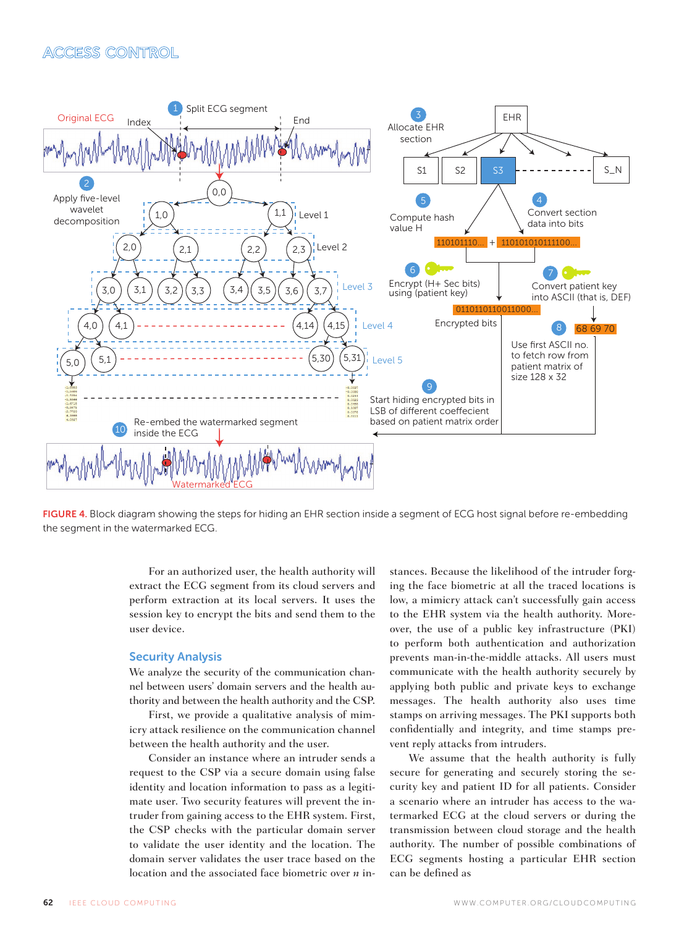# ACCESS CONTROL



FIGURE 4. Block diagram showing the steps for hiding an EHR section inside a segment of ECG host signal before re-embedding the segment in the watermarked ECG.

For an authorized user, the health authority will extract the ECG segment from its cloud servers and perform extraction at its local servers. It uses the session key to encrypt the bits and send them to the user device.

### Security Analysis

We analyze the security of the communication channel between users' domain servers and the health authority and between the health authority and the CSP.

First, we provide a qualitative analysis of mimicry attack resilience on the communication channel between the health authority and the user.

Consider an instance where an intruder sends a request to the CSP via a secure domain using false identity and location information to pass as a legitimate user. Two security features will prevent the intruder from gaining access to the EHR system. First, the CSP checks with the particular domain server to validate the user identity and the location. The domain server validates the user trace based on the location and the associated face biometric over *n* instances. Because the likelihood of the intruder forging the face biometric at all the traced locations is low, a mimicry attack can't successfully gain access to the EHR system via the health authority. Moreover, the use of a public key infrastructure (PKI) to perform both authentication and authorization prevents man-in-the-middle attacks. All users must communicate with the health authority securely by applying both public and private keys to exchange messages. The health authority also uses time stamps on arriving messages. The PKI supports both confidentially and integrity, and time stamps prevent reply attacks from intruders.

We assume that the health authority is fully secure for generating and securely storing the security key and patient ID for all patients. Consider a scenario where an intruder has access to the watermarked ECG at the cloud servers or during the transmission between cloud storage and the health authority. The number of possible combinations of ECG segments hosting a particular EHR section can be defined as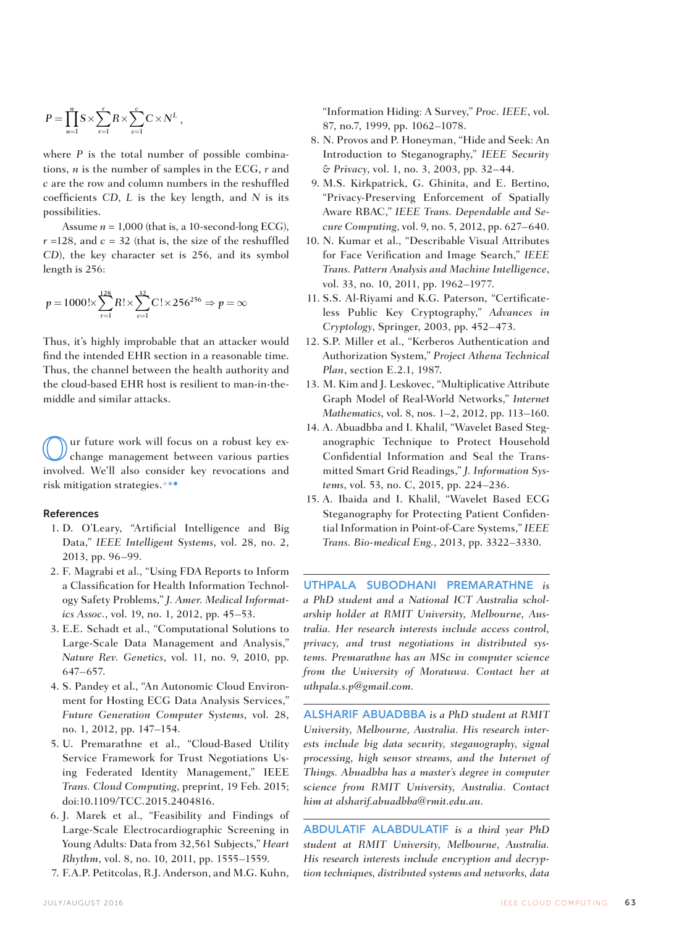$$
P = \prod_{n=1}^{n} S \times \sum_{r=1}^{r} R \times \sum_{c=1}^{c} C \times N^{L},
$$

where *P* is the total number of possible combinations, *n* is the number of samples in the ECG, *r* and *c* are the row and column numbers in the reshuffled coefficients *CD*, *L* is the key length, and *N* is its possibilities.

Assume  $n = 1,000$  (that is, a 10-second-long ECG),  $r = 128$ , and  $c = 32$  (that is, the size of the reshuffled *CD*), the key character set is 256, and its symbol length is 256:

$$
p = 1000! \times \sum_{r=1}^{128} R! \times \sum_{c=1}^{32} C! \times 256^{256} \Rightarrow p = \infty
$$

Thus, it's highly improbable that an attacker would find the intended EHR section in a reasonable time. Thus, the channel between the health authority and the cloud-based EHR host is resilient to man-in-themiddle and similar attacks.

ur future work will focus on a robust key exchange management between various parties involved. We'll also consider key revocations and risk mitigation strategies.

#### References

- 1. D. O'Leary, "Artificial Intelligence and Big Data," *IEEE Intelligent Systems*, vol. 28, no. 2, 2013, pp. 96–99.
- 2. F. Magrabi et al., "Using FDA Reports to Inform a Classification for Health Information Technology Safety Problems," *J. Amer. Medical Informatics Assoc.*, vol. 19, no. 1, 2012, pp. 45–53.
- 3. E.E. Schadt et al., "Computational Solutions to Large-Scale Data Management and Analysis," *Nature Rev. Genetics*, vol. 11, no. 9, 2010, pp. 647–657.
- 4. S. Pandey et al., "An Autonomic Cloud Environment for Hosting ECG Data Analysis Services," *Future Generation Computer Systems*, vol. 28, no. 1, 2012, pp. 147–154.
- 5. U. Premarathne et al., "Cloud-Based Utility Service Framework for Trust Negotiations Using Federated Identity Management," IEEE *Trans. Cloud Computing*, preprint, 19 Feb. 2015; doi:10.1109/TCC.2015.2404816.
- 6. J. Marek et al., "Feasibility and Findings of Large-Scale Electrocardiographic Screening in Young Adults: Data from 32,561 Subjects," *Heart Rhythm*, vol. 8, no. 10, 2011, pp. 1555–1559.
- 7. F.A.P. Petitcolas, R.J. Anderson, and M.G. Kuhn,

"Information Hiding: A Survey," *Proc. IEEE*, vol. 87, no.7, 1999, pp. 1062–1078.

- 8. N. Provos and P. Honeyman, "Hide and Seek: An Introduction to Steganography," *IEEE Security & Privacy*, vol. 1, no. 3, 2003, pp. 32–44.
- 9. M.S. Kirkpatrick, G. Ghinita, and E. Bertino, "Privacy-Preserving Enforcement of Spatially Aware RBAC," *IEEE Trans. Dependable and Secure Computing*, vol. 9, no. 5, 2012, pp. 627–640.
- 10. N. Kumar et al., "Describable Visual Attributes for Face Verification and Image Search," *IEEE Trans. Pattern Analysis and Machine Intelligence*, vol. 33, no. 10, 2011, pp. 1962–1977.
- 11. S.S. Al-Riyami and K.G. Paterson, "Certificateless Public Key Cryptography," *Advances in Cryptology*, Springer, 2003, pp. 452–473.
- 12. S.P. Miller et al., "Kerberos Authentication and Authorization System," *Project Athena Technical Plan*, section E.2.1, 1987.
- 13. M. Kim and J. Leskovec, "Multiplicative Attribute Graph Model of Real-World Networks," *Internet Mathematics*, vol. 8, nos. 1–2, 2012, pp. 113–160.
- 14. A. Abuadbba and I. Khalil, "Wavelet Based Steganographic Technique to Protect Household Confidential Information and Seal the Transmitted Smart Grid Readings," *J. Information Systems*, vol. 53, no. C, 2015, pp. 224–236.
- 15. A. Ibaida and I. Khalil, "Wavelet Based ECG Steganography for Protecting Patient Confidential Information in Point-of-Care Systems," *IEEE Trans. Bio-medical Eng.*, 2013, pp. 3322–3330.

UTHPALA SUBODHANI PREMARATHNE *is a PhD student and a National ICT Australia scholarship holder at RMIT University, Melbourne, Australia. Her research interests include access control, privacy, and trust negotiations in distributed systems. Premarathne has an MSc in computer science from the University of Moratuwa. Contact her at uthpala.s.p@gmail.com.* 

ALSHARIF ABUADBBA *is a PhD student at RMIT University, Melbourne, Australia. His research interests include big data security, steganography, signal processing, high sensor streams, and the Internet of Things. Abuadbba has a master's degree in computer science from RMIT University, Australia. Contact him at alsharif.abuadbba@rmit.edu.au.*

ABDULATIF ALABDULATIF *is a third year PhD student at RMIT University, Melbourne, Australia. His research interests include encryption and decryption techniques, distributed systems and networks, data*